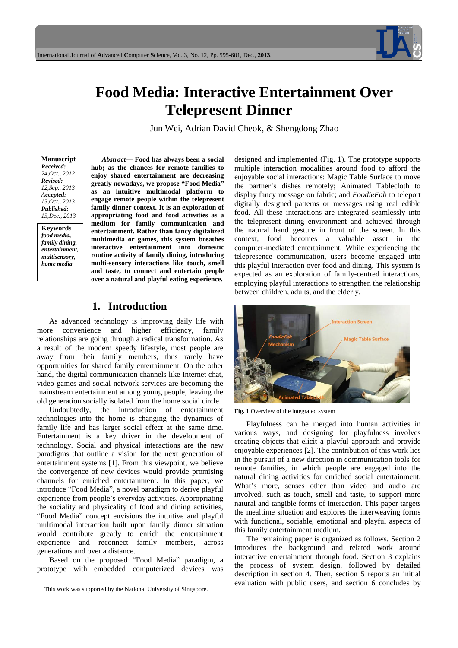

# **Food Media: Interactive Entertainment Over Telepresent Dinner**

Jun Wei, Adrian David Cheok, & Shengdong Zhao

**Manuscript** *Received: 24,Oct., 2012 Revised: 12,Sep., 2013 Accepted: 15,Oct., 2013 Published: 15,Dec., 2013*

**Keywords** *food media, family dining, entertainment, multisensory, home media*

l

Abstract— Food has always been a social **hub; as the chances for remote families to enjoy shared entertainment are decreasing greatly nowadays, we propose "Food Media" as an intuitive multimodal platform to engage remote people within the telepresent family dinner context. It is an exploration of appropriating food and food activities as a medium for family communication and entertainment. Rather than fancy digitalized multimedia or games, this system breathes interactive entertainment into domestic routine activity of family dining, introducing multi-sensory interactions like touch, smell and taste, to connect and entertain people over a natural and playful eating experience.** 

## **1. Introduction**

As advanced technology is improving daily life with more convenience and higher efficiency, family relationships are going through a radical transformation. As a result of the modern speedy lifestyle, most people are away from their family members, thus rarely have opportunities for shared family entertainment. On the other hand, the digital communication channels like Internet chat, video games and social network services are becoming the mainstream entertainment among young people, leaving the old generation socially isolated from the home social circle.

Undoubtedly, the introduction of entertainment technologies into the home is changing the dynamics of family life and has larger social effect at the same time. Entertainment is a key driver in the development of technology. Social and physical interactions are the new paradigms that outline a vision for the next generation of entertainment systems [1]. From this viewpoint, we believe the convergence of new devices would provide promising channels for enriched entertainment. In this paper, we introduce "Food Media", a novel paradigm to derive playful experience from people's everyday activities. Appropriating the sociality and physicality of food and dining activities, "Food Media" concept envisions the intuitive and playful multimodal interaction built upon family dinner situation would contribute greatly to enrich the entertainment experience and reconnect family members, across generations and over a distance.

Based on the proposed "Food Media" paradigm, a prototype with embedded computerized devices was

designed and implemented (Fig. 1). The prototype supports multiple interaction modalities around food to afford the enjoyable social interactions: Magic Table Surface to move the partner's dishes remotely; Animated Tablecloth to display fancy message on fabric; and *FoodieFab* to teleport digitally designed patterns or messages using real edible food. All these interactions are integrated seamlessly into the telepresent dining environment and achieved through the natural hand gesture in front of the screen. In this context, food becomes a valuable asset in the computer-mediated entertainment. While experiencing the telepresence communication, users become engaged into this playful interaction over food and dining. This system is expected as an exploration of family-centred interactions, employing playful interactions to strengthen the relationship between children, adults, and the elderly.



**Fig. 1** Overview of the integrated system

Playfulness can be merged into human activities in various ways, and designing for playfulness involves creating objects that elicit a playful approach and provide enjoyable experiences [2]. The contribution of this work lies in the pursuit of a new direction in communication tools for remote families, in which people are engaged into the natural dining activities for enriched social entertainment. What's more, senses other than video and audio are involved, such as touch, smell and taste, to support more natural and tangible forms of interaction. This paper targets the mealtime situation and explores the interweaving forms with functional, sociable, emotional and playful aspects of this family entertainment medium.

The remaining paper is organized as follows. Section 2 introduces the background and related work around interactive entertainment through food. Section 3 explains the process of system design, followed by detailed description in section 4. Then, section 5 reports an initial evaluation with public users, and section 6 concludes by

This work was supported by the National University of Singapore.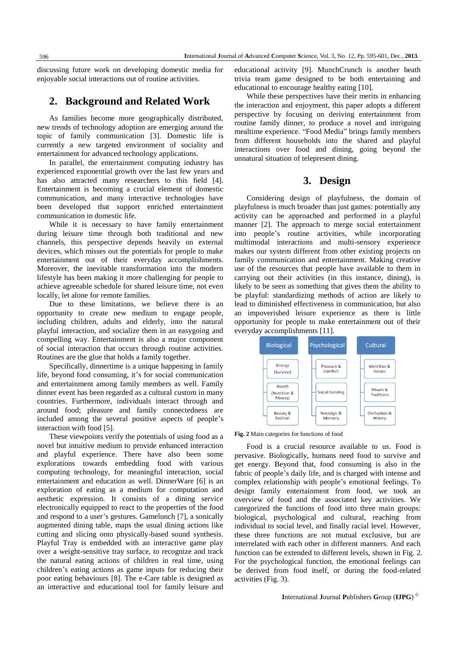discussing future work on developing domestic media for enjoyable social interactions out of routine activities.

## **2. Background and Related Work**

As families become more geographically distributed, new trends of technology adoption are emerging around the topic of family communication [3]. Domestic life is currently a new targeted environment of sociality and entertainment for advanced technology applications.

In parallel, the entertainment computing industry has experienced exponential growth over the last few years and has also attracted many researchers to this field [4]. Entertainment is becoming a crucial element of domestic communication, and many interactive technologies have been developed that support enriched entertainment communication in domestic life.

While it is necessary to have family entertainment during leisure time through both traditional and new channels, this perspective depends heavily on external devices, which misses out the potentials for people to make entertainment out of their everyday accomplishments. Moreover, the inevitable transformation into the modern lifestyle has been making it more challenging for people to achieve agreeable schedule for shared leisure time, not even locally, let alone for remote families.

Due to these limitations, we believe there is an opportunity to create new medium to engage people, including children, adults and elderly, into the natural playful interaction, and socialize them in an easygoing and compelling way. Entertainment is also a major component of social interaction that occurs through routine activities. Routines are the glue that holds a family together.

Specifically, dinnertime is a unique happening in family life, beyond food consuming, it's for social communication and entertainment among family members as well. Family dinner event has been regarded as a cultural custom in many countries. Furthermore, individuals interact through and around food; pleasure and family connectedness are included among the several positive aspects of people's interaction with food [5].

These viewpoints verify the potentials of using food as a novel but intuitive medium to provide enhanced interaction and playful experience. There have also been some explorations towards embedding food with various computing technology, for meaningful interaction, social entertainment and education as well. DinnerWare [6] is an exploration of eating as a medium for computation and aesthetic expression. It consists of a dining service electronically equipped to react to the properties of the food and respond to a user's gestures. Gamelunch [7], a sonically augmented dining table, maps the usual dining actions like cutting and slicing onto physically-based sound synthesis. Playful Tray is embedded with an interactive game play over a weight-sensitive tray surface, to recognize and track the natural eating actions of children in real time, using children's eating actions as game inputs for reducing their poor eating behaviours [8]. The e-Care table is designed as an interactive and educational tool for family leisure and educational activity [9]. MunchCrunch is another heath trivia team game designed to be both entertaining and educational to encourage healthy eating [10].

While these perspectives have their merits in enhancing the interaction and enjoyment, this paper adopts a different perspective by focusing on deriving entertainment from routine family dinner, to produce a novel and intriguing mealtime experience. "Food Media" brings family members from different households into the shared and playful interactions over food and dining, going beyond the unnatural situation of telepresent dining.

## **3. Design**

Considering design of playfulness, the domain of playfulness is much broader than just games: potentially any activity can be approached and performed in a playful manner [2]. The approach to merge social entertainment into people's routine activities, while incorporating multimodal interactions and multi-sensory experience makes our system different from other existing projects on family communication and entertainment. Making creative use of the resources that people have available to them in carrying out their activities (in this instance, dining), is likely to be seen as something that gives them the ability to be playful: standardizing methods of action are likely to lead to diminished effectiveness in communication, but also an impoverished leisure experience as there is little opportunity for people to make entertainment out of their everyday accomplishments [11].



**Fig. 2** Main categories for functions of food

Food is a crucial resource available to us. Food is pervasive. Biologically, humans need food to survive and get energy. Beyond that, food consuming is also in the fabric of people's daily life, and is charged with intense and complex relationship with people's emotional feelings. To design family entertainment from food, we took an overview of food and the associated key activities. We categorized the functions of food into three main groups: biological, psychological and cultural, reaching from individual to social level, and finally racial level. However, these three functions are not mutual exclusive, but are interrelated with each other in different manners. And each function can be extended to different levels, shown in Fig. 2. For the psychological function, the emotional feelings can be derived from food itself, or during the food-related activities (Fig. 3).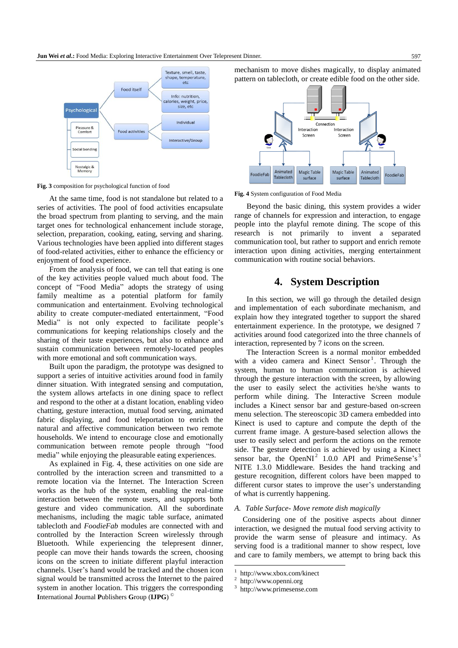

**Fig. 3** composition for psychological function of food

At the same time, food is not standalone but related to a series of activities. The pool of food activities encapsulate the broad spectrum from planting to serving, and the main target ones for technological enhancement include storage, selection, preparation, cooking, eating, serving and sharing. Various technologies have been applied into different stages of food-related activities, either to enhance the efficiency or enjoyment of food experience.

From the analysis of food, we can tell that eating is one of the key activities people valued much about food. The concept of "Food Media" adopts the strategy of using family mealtime as a potential platform for family communication and entertainment. Evolving technological ability to create computer-mediated entertainment, "Food Media" is not only expected to facilitate people's communications for keeping relationships closely and the sharing of their taste experiences, but also to enhance and sustain communication between remotely-located peoples with more emotional and soft communication ways.

Built upon the paradigm, the prototype was designed to support a series of intuitive activities around food in family dinner situation. With integrated sensing and computation, the system allows artefacts in one dining space to reflect and respond to the other at a distant location, enabling video chatting, gesture interaction, mutual food serving, animated fabric displaying, and food teleportation to enrich the natural and affective communication between two remote households. We intend to encourage close and emotionally communication between remote people through "food media" while enjoying the pleasurable eating experiences.

**I**nternational **J**ournal **P**ublishers **G**roup (**IJPG**) © As explained in Fig. 4, these activities on one side are controlled by the interaction screen and transmitted to a remote location via the Internet. The Interaction Screen works as the hub of the system, enabling the real-time interaction between the remote users, and supports both gesture and video communication. All the subordinate mechanisms, including the magic table surface, animated tablecloth and *FoodieFab* modules are connected with and controlled by the Interaction Screen wirelessly through Bluetooth. While experiencing the telepresent dinner, people can move their hands towards the screen, choosing icons on the screen to initiate different playful interaction channels. User's hand would be tracked and the chosen icon signal would be transmitted across the Internet to the paired system in another location. This triggers the corresponding mechanism to move dishes magically, to display animated pattern on tablecloth, or create edible food on the other side.



**Fig. 4** System configuration of Food Media

Beyond the basic dining, this system provides a wider range of channels for expression and interaction, to engage people into the playful remote dining. The scope of this research is not primarily to invent a separated communication tool, but rather to support and enrich remote interaction upon dining activities, merging entertainment communication with routine social behaviors.

# **4. System Description**

In this section, we will go through the detailed design and implementation of each subordinate mechanism, and explain how they integrated together to support the shared entertainment experience. In the prototype, we designed 7 activities around food categorized into the three channels of interaction, represented by 7 icons on the screen.

The Interaction Screen is a normal monitor embedded with a video camera and Kinect Sensor<sup>1</sup>. Through the system, human to human communication is achieved through the gesture interaction with the screen, by allowing the user to easily select the activities he/she wants to perform while dining. The Interactive Screen module includes a Kinect sensor bar and gesture-based on-screen menu selection. The stereoscopic 3D camera embedded into Kinect is used to capture and compute the depth of the current frame image. A gesture-based selection allows the user to easily select and perform the actions on the remote side. The gesture detection is achieved by using a Kinect sensor bar, the OpenNI<sup>2</sup> 1.0.0 API and PrimeSense's<sup>3</sup> NITE 1.3.0 Middleware. Besides the hand tracking and gesture recognition, different colors have been mapped to different cursor states to improve the user's understanding of what is currently happening.

#### *A. Table Surface- Move remote dish magically*

Considering one of the positive aspects about dinner interaction, we designed the mutual food serving activity to provide the warm sense of pleasure and intimacy. As serving food is a traditional manner to show respect, love and care to family members, we attempt to bring back this

<sup>-</sup>1 http://www.xbox.com/kinect

<sup>2</sup> http://www.openni.org

<sup>3</sup> http://www.primesense.com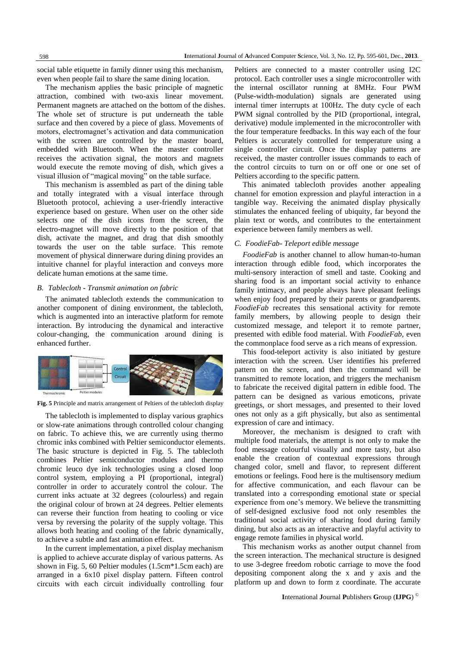social table etiquette in family dinner using this mechanism, even when people fail to share the same dining location.

The mechanism applies the basic principle of magnetic attraction, combined with two-axis linear movement. Permanent magnets are attached on the bottom of the dishes. The whole set of structure is put underneath the table surface and then covered by a piece of glass. Movements of motors, electromagnet's activation and data communication with the screen are controlled by the master board, embedded with Bluetooth. When the master controller receives the activation signal, the motors and magnets would execute the remote moving of dish, which gives a visual illusion of "magical moving" on the table surface.

This mechanism is assembled as part of the dining table and totally integrated with a visual interface through Bluetooth protocol, achieving a user-friendly interactive experience based on gesture. When user on the other side selects one of the dish icons from the screen, the electro-magnet will move directly to the position of that dish, activate the magnet, and drag that dish smoothly towards the user on the table surface. This remote movement of physical dinnerware during dining provides an intuitive channel for playful interaction and conveys more delicate human emotions at the same time.

#### *B. Tablecloth - Transmit animation on fabric*

The animated tablecloth extends the communication to another component of dining environment, the tablecloth, which is augmented into an interactive platform for remote interaction. By introducing the dynamical and interactive colour-changing, the communication around dining is enhanced further.



**Fig. 5** Principle and matrix arrangement of Peltiers of the tablecloth display

The tablecloth is implemented to display various graphics or slow-rate animations through controlled colour changing on fabric. To achieve this, we are currently using thermo chromic inks combined with Peltier semiconductor elements. The basic structure is depicted in Fig. 5. The tablecloth combines Peltier semiconductor modules and thermo chromic leuco dye ink technologies using a closed loop control system, employing a PI (proportional, integral) controller in order to accurately control the colour. The current inks actuate at 32 degrees (colourless) and regain the original colour of brown at 24 degrees. Peltier elements can reverse their function from heating to cooling or vice versa by reversing the polarity of the supply voltage. This allows both heating and cooling of the fabric dynamically, to achieve a subtle and fast animation effect.

In the current implementation, a pixel display mechanism is applied to achieve accurate display of various patterns. As shown in Fig. 5, 60 Peltier modules (1.5cm\*1.5cm each) are arranged in a 6x10 pixel display pattern. Fifteen control circuits with each circuit individually controlling four Peltiers are connected to a master controller using I2C protocol. Each controller uses a single microcontroller with the internal oscillator running at 8MHz. Four PWM (Pulse-width-modulation) signals are generated using internal timer interrupts at 100Hz. The duty cycle of each PWM signal controlled by the PID (proportional, integral, derivative) module implemented in the microcontroller with the four temperature feedbacks. In this way each of the four Peltiers is accurately controlled for temperature using a single controller circuit. Once the display patterns are received, the master controller issues commands to each of the control circuits to turn on or off one or one set of Peltiers according to the specific pattern.

This animated tablecloth provides another appealing channel for emotion expression and playful interaction in a tangible way. Receiving the animated display physically stimulates the enhanced feeling of ubiquity, far beyond the plain text or words, and contributes to the entertainment experience between family members as well.

#### *C. FoodieFab- Teleport edible message*

*FoodieFab* is another channel to allow human-to-human interaction through edible food, which incorporates the multi-sensory interaction of smell and taste. Cooking and sharing food is an important social activity to enhance family intimacy, and people always have pleasant feelings when enjoy food prepared by their parents or grandparents. *FoodieFab* recreates this sensational activity for remote family members, by allowing people to design their customized message, and teleport it to remote partner, presented with edible food material. With *FoodieFab*, even the commonplace food serve as a rich means of expression.

This food-teleport activity is also initiated by gesture interaction with the screen. User identifies his preferred pattern on the screen, and then the command will be transmitted to remote location, and triggers the mechanism to fabricate the received digital pattern in edible food. The pattern can be designed as various emoticons, private greetings, or short messages, and presented to their loved ones not only as a gift physically, but also as sentimental expression of care and intimacy.

Moreover, the mechanism is designed to craft with multiple food materials, the attempt is not only to make the food message colourful visually and more tasty, but also enable the creation of contextual expressions through changed color, smell and flavor, to represent different emotions or feelings. Food here is the multisensory medium for affective communication, and each flavour can be translated into a corresponding emotional state or special experience from one's memory. We believe the transmitting of self-designed exclusive food not only resembles the traditional social activity of sharing food during family dining, but also acts as an interactive and playful activity to engage remote families in physical world.

This mechanism works as another output channel from the screen interaction. The mechanical structure is designed to use 3-degree freedom robotic carriage to move the food depositing component along the x and y axis and the platform up and down to form z coordinate. The accurate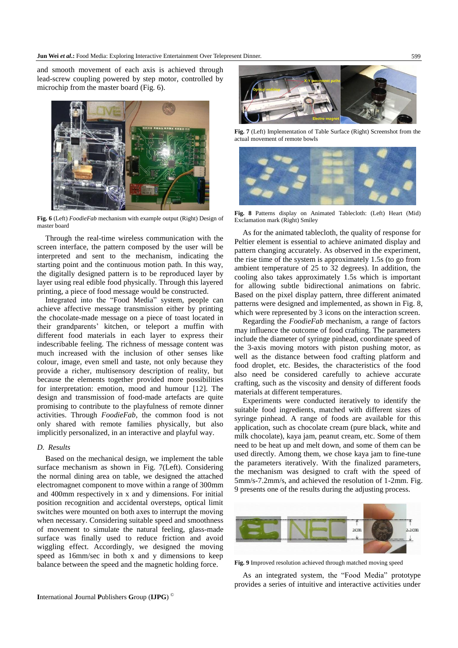and smooth movement of each axis is achieved through lead-screw coupling powered by step motor, controlled by microchip from the master board (Fig. 6).



**Fig. 6** (Left) *FoodieFab* mechanism with example output (Right) Design of master board

Through the real-time wireless communication with the screen interface, the pattern composed by the user will be interpreted and sent to the mechanism, indicating the starting point and the continuous motion path. In this way, the digitally designed pattern is to be reproduced layer by layer using real edible food physically. Through this layered printing, a piece of food message would be constructed.

Integrated into the "Food Media" system, people can achieve affective message transmission either by printing the chocolate-made message on a piece of toast located in their grandparents' kitchen, or teleport a muffin with different food materials in each layer to express their indescribable feeling. The richness of message content was much increased with the inclusion of other senses like colour, image, even smell and taste, not only because they provide a richer, multisensory description of reality, but because the elements together provided more possibilities for interpretation: emotion, mood and humour [12]. The design and transmission of food-made artefacts are quite promising to contribute to the playfulness of remote dinner activities. Through *FoodieFab*, the common food is not only shared with remote families physically, but also implicitly personalized, in an interactive and playful way.

#### *D. Results*

Based on the mechanical design, we implement the table surface mechanism as shown in Fig. 7(Left). Considering the normal dining area on table, we designed the attached electromagnet component to move within a range of 300mm and 400mm respectively in x and y dimensions. For initial position recognition and accidental oversteps, optical limit switches were mounted on both axes to interrupt the moving when necessary. Considering suitable speed and smoothness of movement to simulate the natural feeling, glass-made surface was finally used to reduce friction and avoid wiggling effect. Accordingly, we designed the moving speed as 16mm/sec in both x and y dimensions to keep balance between the speed and the magnetic holding force.



**Fig. 7** (Left) Implementation of Table Surface (Right) Screenshot from the actual movement of remote bowls



**Fig. 8** Patterns display on Animated Tablecloth: (Left) Heart (Mid) Exclamation mark (Right) Smiley

As for the animated tablecloth, the quality of response for Peltier element is essential to achieve animated display and pattern changing accurately. As observed in the experiment, the rise time of the system is approximately 1.5s (to go from ambient temperature of 25 to 32 degrees). In addition, the cooling also takes approximately 1.5s which is important for allowing subtle bidirectional animations on fabric. Based on the pixel display pattern, three different animated patterns were designed and implemented, as shown in Fig. 8, which were represented by 3 icons on the interaction screen.

Regarding the *FoodieFab* mechanism, a range of factors may influence the outcome of food crafting. The parameters include the diameter of syringe pinhead, coordinate speed of the 3-axis moving motors with piston pushing motor, as well as the distance between food crafting platform and food droplet, etc. Besides, the characteristics of the food also need be considered carefully to achieve accurate crafting, such as the viscosity and density of different foods materials at different temperatures.

Experiments were conducted iteratively to identify the suitable food ingredients, matched with different sizes of syringe pinhead. A range of foods are available for this application, such as chocolate cream (pure black, white and milk chocolate), kaya jam, peanut cream, etc. Some of them need to be heat up and melt down, and some of them can be used directly. Among them, we chose kaya jam to fine-tune the parameters iteratively. With the finalized parameters, the mechanism was designed to craft with the speed of 5mm/s-7.2mm/s, and achieved the resolution of 1-2mm. Fig. 9 presents one of the results during the adjusting process.



**Fig. 9** Improved resolution achieved through matched moving speed

As an integrated system, the "Food Media" prototype provides a series of intuitive and interactive activities under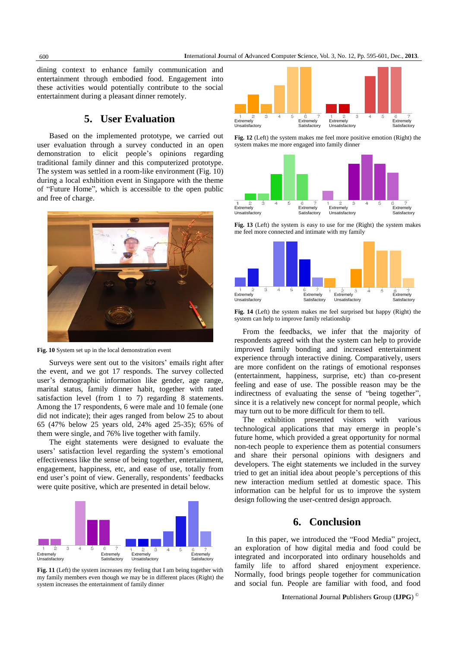dining context to enhance family communication and entertainment through embodied food. Engagement into these activities would potentially contribute to the social entertainment during a pleasant dinner remotely.

# **5. User Evaluation**

Based on the implemented prototype, we carried out user evaluation through a survey conducted in an open demonstration to elicit people's opinions regarding traditional family dinner and this computerized prototype. The system was settled in a room-like environment (Fig. 10) during a local exhibition event in Singapore with the theme of "Future Home", which is accessible to the open public and free of charge.



**Fig. 10** System set up in the local demonstration event

Surveys were sent out to the visitors' emails right after the event, and we got 17 responds. The survey collected user's demographic information like gender, age range, marital status, family dinner habit, together with rated satisfaction level (from 1 to 7) regarding 8 statements. Among the 17 respondents, 6 were male and 10 female (one did not indicate); their ages ranged from below 25 to about 65 (47% below 25 years old, 24% aged 25-35); 65% of them were single, and 76% live together with family.

The eight statements were designed to evaluate the users' satisfaction level regarding the system's emotional effectiveness like the sense of being together, entertainment, engagement, happiness, etc, and ease of use, totally from end user's point of view. Generally, respondents' feedbacks were quite positive, which are presented in detail below.



**Fig. 11** (Left) the system increases my feeling that I am being together with my family members even though we may be in different places (Right) the system increases the entertainment of family dinner



**Fig. 12** (Left) the system makes me feel more positive emotion (Right) the system makes me more engaged into family dinner



Fig. 13 (Left) the system is easy to use for me (Right) the system makes me feel more connected and intimate with my family



**Fig. 14** (Left) the system makes me feel surprised but happy (Right) the system can help to improve family relationship

From the feedbacks, we infer that the majority of respondents agreed with that the system can help to provide improved family bonding and increased entertainment experience through interactive dining. Comparatively, users are more confident on the ratings of emotional responses (entertainment, happiness, surprise, etc) than co-present feeling and ease of use. The possible reason may be the indirectness of evaluating the sense of "being together", since it is a relatively new concept for normal people, which may turn out to be more difficult for them to tell.

The exhibition presented visitors with various technological applications that may emerge in people's future home, which provided a great opportunity for normal non-tech people to experience them as potential consumers and share their personal opinions with designers and developers. The eight statements we included in the survey tried to get an initial idea about people's perceptions of this new interaction medium settled at domestic space. This information can be helpful for us to improve the system design following the user-centred design approach.

# **6. Conclusion**

In this paper, we introduced the "Food Media" project, an exploration of how digital media and food could be integrated and incorporated into ordinary households and family life to afford shared enjoyment experience. Normally, food brings people together for communication and social fun. People are familiar with food, and food